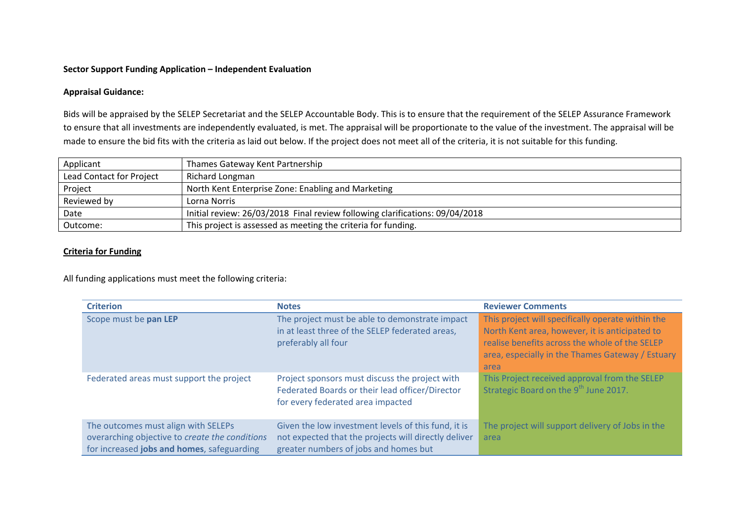## **Sector Support Funding Application – Independent Evaluation**

## **Appraisal Guidance:**

Bids will be appraised by the SELEP Secretariat and the SELEP Accountable Body. This is to ensure that the requirement of the SELEP Assurance Framework to ensure that all investments are independently evaluated, is met. The appraisal will be proportionate to the value of the investment. The appraisal will be made to ensure the bid fits with the criteria as laid out below. If the project does not meet all of the criteria, it is not suitable for this funding.

| Applicant                | Thames Gateway Kent Partnership                                              |
|--------------------------|------------------------------------------------------------------------------|
| Lead Contact for Project | Richard Longman                                                              |
| Project                  | North Kent Enterprise Zone: Enabling and Marketing                           |
| Reviewed by              | Lorna Norris                                                                 |
| Date                     | Initial review: 26/03/2018 Final review following clarifications: 09/04/2018 |
| Outcome:                 | This project is assessed as meeting the criteria for funding.                |

## **Criteria for Funding**

All funding applications must meet the following criteria:

| <b>Criterion</b>                                                                                                                    | <b>Notes</b>                                                                                                                                         | <b>Reviewer Comments</b>                                                                                                                                                                                          |
|-------------------------------------------------------------------------------------------------------------------------------------|------------------------------------------------------------------------------------------------------------------------------------------------------|-------------------------------------------------------------------------------------------------------------------------------------------------------------------------------------------------------------------|
| Scope must be pan LEP                                                                                                               | The project must be able to demonstrate impact<br>in at least three of the SELEP federated areas,<br>preferably all four                             | This project will specifically operate within the<br>North Kent area, however, it is anticipated to<br>realise benefits across the whole of the SELEP<br>area, especially in the Thames Gateway / Estuary<br>area |
| Federated areas must support the project                                                                                            | Project sponsors must discuss the project with<br>Federated Boards or their lead officer/Director<br>for every federated area impacted               | This Project received approval from the SELEP<br>Strategic Board on the 9 <sup>th</sup> June 2017.                                                                                                                |
| The outcomes must align with SELEPs<br>overarching objective to create the conditions<br>for increased jobs and homes, safeguarding | Given the low investment levels of this fund, it is<br>not expected that the projects will directly deliver<br>greater numbers of jobs and homes but | The project will support delivery of Jobs in the<br>area                                                                                                                                                          |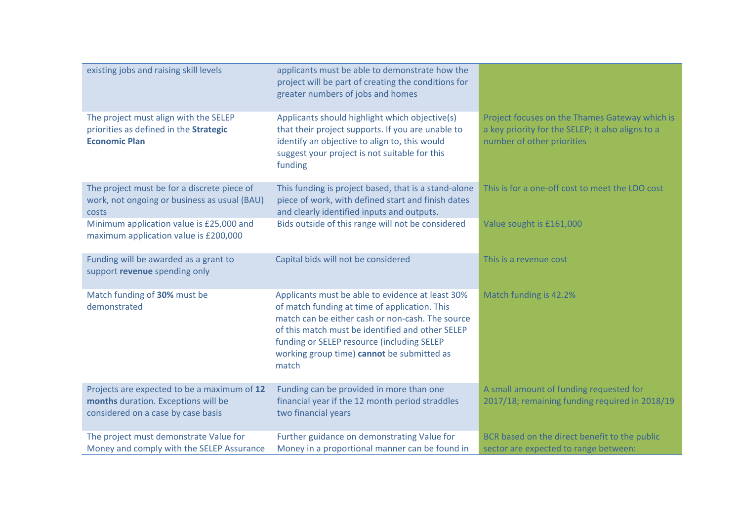| existing jobs and raising skill levels                                                                                   | applicants must be able to demonstrate how the<br>project will be part of creating the conditions for<br>greater numbers of jobs and homes                                                                                                                                                                     |                                                                                                                                   |
|--------------------------------------------------------------------------------------------------------------------------|----------------------------------------------------------------------------------------------------------------------------------------------------------------------------------------------------------------------------------------------------------------------------------------------------------------|-----------------------------------------------------------------------------------------------------------------------------------|
| The project must align with the SELEP<br>priorities as defined in the Strategic<br><b>Economic Plan</b>                  | Applicants should highlight which objective(s)<br>that their project supports. If you are unable to<br>identify an objective to align to, this would<br>suggest your project is not suitable for this<br>funding                                                                                               | Project focuses on the Thames Gateway which is<br>a key priority for the SELEP; it also aligns to a<br>number of other priorities |
| The project must be for a discrete piece of<br>work, not ongoing or business as usual (BAU)<br>costs                     | This funding is project based, that is a stand-alone<br>piece of work, with defined start and finish dates<br>and clearly identified inputs and outputs.                                                                                                                                                       | This is for a one-off cost to meet the LDO cost                                                                                   |
| Minimum application value is £25,000 and<br>maximum application value is £200,000                                        | Bids outside of this range will not be considered                                                                                                                                                                                                                                                              | Value sought is £161,000                                                                                                          |
| Funding will be awarded as a grant to<br>support revenue spending only                                                   | Capital bids will not be considered                                                                                                                                                                                                                                                                            | This is a revenue cost                                                                                                            |
| Match funding of 30% must be<br>demonstrated                                                                             | Applicants must be able to evidence at least 30%<br>of match funding at time of application. This<br>match can be either cash or non-cash. The source<br>of this match must be identified and other SELEP<br>funding or SELEP resource (including SELEP<br>working group time) cannot be submitted as<br>match | Match funding is 42.2%                                                                                                            |
| Projects are expected to be a maximum of 12<br>months duration. Exceptions will be<br>considered on a case by case basis | Funding can be provided in more than one<br>financial year if the 12 month period straddles<br>two financial years                                                                                                                                                                                             | A small amount of funding requested for<br>2017/18; remaining funding required in 2018/19                                         |
| The project must demonstrate Value for<br>Money and comply with the SELEP Assurance                                      | Further guidance on demonstrating Value for<br>Money in a proportional manner can be found in                                                                                                                                                                                                                  | BCR based on the direct benefit to the public<br>sector are expected to range between:                                            |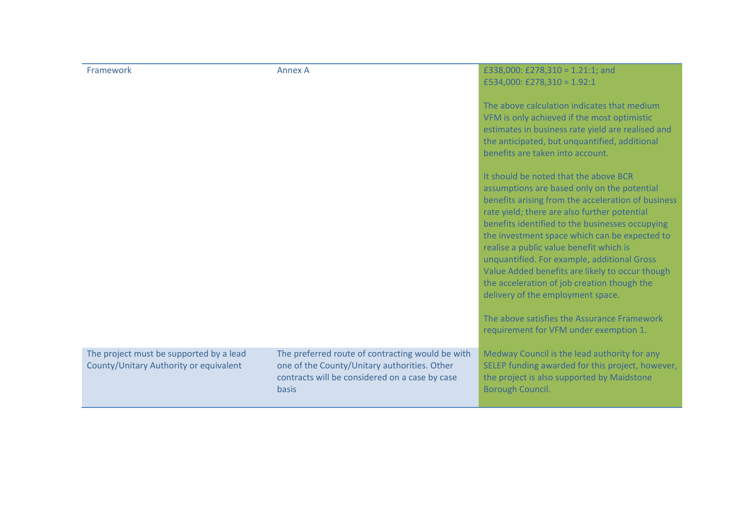| Framework                                                                         | <b>Annex A</b>                                                                                                                                              | £338,000: £278,310 = 1.21:1; and<br>£534,000: £278,310 = 1.92:1<br>The above calculation indicates that medium<br>VFM is only achieved if the most optimistic<br>estimates in business rate yield are realised and<br>the anticipated, but unquantified, additional<br>benefits are taken into account.<br>It should be noted that the above BCR<br>assumptions are based only on the potential<br>benefits arising from the acceleration of business<br>rate yield; there are also further potential<br>benefits identified to the businesses occupying<br>the investment space which can be expected to<br>realise a public value benefit which is<br>unquantified. For example, additional Gross<br>Value Added benefits are likely to occur though<br>the acceleration of job creation though the<br>delivery of the employment space.<br>The above satisfies the Assurance Framework<br>requirement for VFM under exemption 1. |
|-----------------------------------------------------------------------------------|-------------------------------------------------------------------------------------------------------------------------------------------------------------|-------------------------------------------------------------------------------------------------------------------------------------------------------------------------------------------------------------------------------------------------------------------------------------------------------------------------------------------------------------------------------------------------------------------------------------------------------------------------------------------------------------------------------------------------------------------------------------------------------------------------------------------------------------------------------------------------------------------------------------------------------------------------------------------------------------------------------------------------------------------------------------------------------------------------------------|
| The project must be supported by a lead<br>County/Unitary Authority or equivalent | The preferred route of contracting would be with<br>one of the County/Unitary authorities. Other<br>contracts will be considered on a case by case<br>basis | Medway Council is the lead authority for any<br>SELEP funding awarded for this project, however,<br>the project is also supported by Maidstone<br>Borough Council.                                                                                                                                                                                                                                                                                                                                                                                                                                                                                                                                                                                                                                                                                                                                                                  |